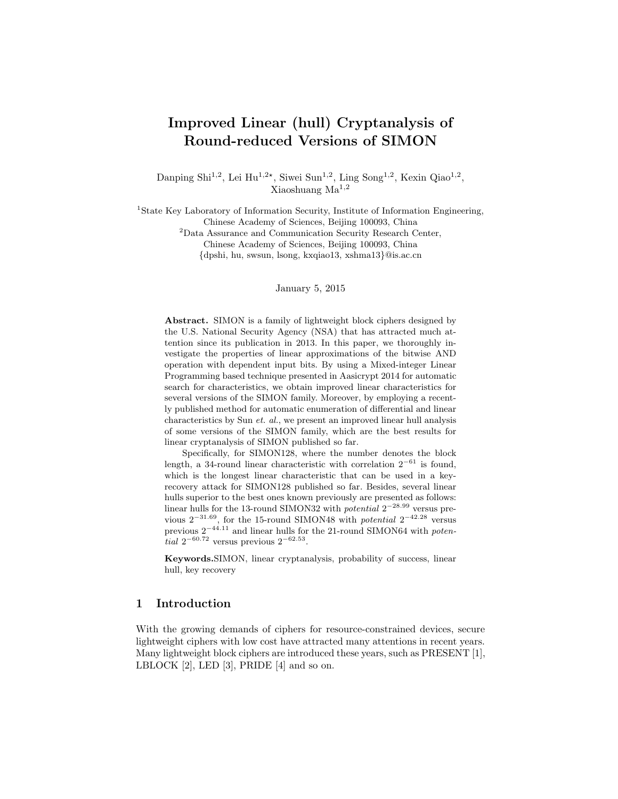# Improved Linear (hull) Cryptanalysis of Round-reduced Versions of SIMON

Danping Shi<sup>1,2</sup>, Lei Hu<sup>1,2\*</sup>, Siwei Sun<sup>1,2</sup>, Ling Song<sup>1,2</sup>, Kexin Qiao<sup>1,2</sup>, Xiaoshuang Ma1,<sup>2</sup>

<sup>1</sup>State Key Laboratory of Information Security, Institute of Information Engineering, Chinese Academy of Sciences, Beijing 100093, China

<sup>2</sup>Data Assurance and Communication Security Research Center,

Chinese Academy of Sciences, Beijing 100093, China

{dpshi, hu, swsun, lsong, kxqiao13, xshma13}@is.ac.cn

January 5, 2015

Abstract. SIMON is a family of lightweight block ciphers designed by the U.S. National Security Agency (NSA) that has attracted much attention since its publication in 2013. In this paper, we thoroughly investigate the properties of linear approximations of the bitwise AND operation with dependent input bits. By using a Mixed-integer Linear Programming based technique presented in Aasicrypt 2014 for automatic search for characteristics, we obtain improved linear characteristics for several versions of the SIMON family. Moreover, by employing a recently published method for automatic enumeration of differential and linear characteristics by Sun et. al., we present an improved linear hull analysis of some versions of the SIMON family, which are the best results for linear cryptanalysis of SIMON published so far.

Specifically, for SIMON128, where the number denotes the block length, a 34-round linear characteristic with correlation  $2^{-61}$  is found, which is the longest linear characteristic that can be used in a keyrecovery attack for SIMON128 published so far. Besides, several linear hulls superior to the best ones known previously are presented as follows: linear hulls for the 13-round SIMON32 with *potential*  $2^{-28.99}$  versus previous  $2^{-31.69}$ , for the 15-round SIMON48 with *potential*  $2^{-42.28}$  versus previous  $2^{-44.11}$  and linear hulls for the 21-round SIMON64 with *poten*tial  $2^{-60.72}$  versus previous  $2^{-62.53}$ .

Keywords.SIMON, linear cryptanalysis, probability of success, linear hull, key recovery

## 1 Introduction

With the growing demands of ciphers for resource-constrained devices, secure lightweight ciphers with low cost have attracted many attentions in recent years. Many lightweight block ciphers are introduced these years, such as PRESENT [1], LBLOCK [2], LED [3], PRIDE [4] and so on.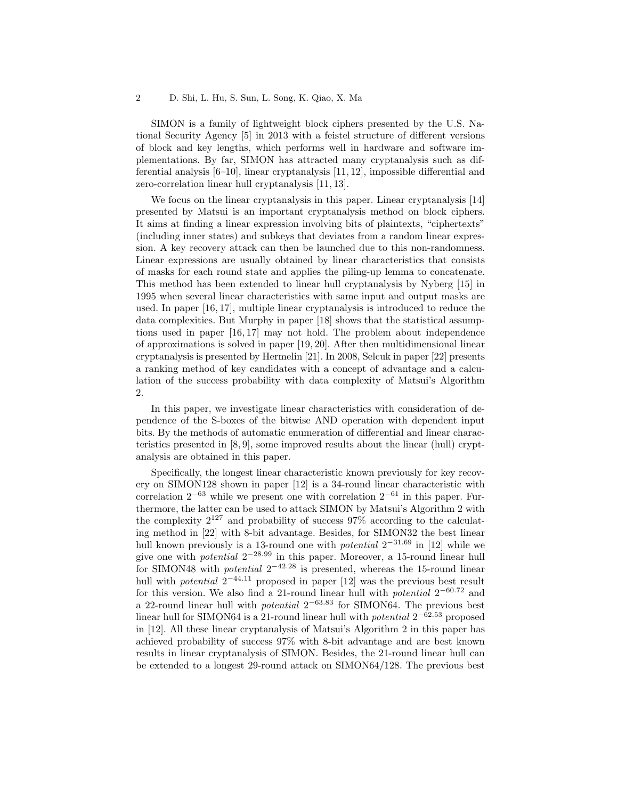SIMON is a family of lightweight block ciphers presented by the U.S. National Security Agency [5] in 2013 with a feistel structure of different versions of block and key lengths, which performs well in hardware and software implementations. By far, SIMON has attracted many cryptanalysis such as differential analysis [6–10], linear cryptanalysis [11, 12], impossible differential and zero-correlation linear hull cryptanalysis [11, 13].

We focus on the linear cryptanalysis in this paper. Linear cryptanalysis [14] presented by Matsui is an important cryptanalysis method on block ciphers. It aims at finding a linear expression involving bits of plaintexts, "ciphertexts" (including inner states) and subkeys that deviates from a random linear expression. A key recovery attack can then be launched due to this non-randomness. Linear expressions are usually obtained by linear characteristics that consists of masks for each round state and applies the piling-up lemma to concatenate. This method has been extended to linear hull cryptanalysis by Nyberg [15] in 1995 when several linear characteristics with same input and output masks are used. In paper [16, 17], multiple linear cryptanalysis is introduced to reduce the data complexities. But Murphy in paper [18] shows that the statistical assumptions used in paper [16, 17] may not hold. The problem about independence of approximations is solved in paper [19, 20]. After then multidimensional linear cryptanalysis is presented by Hermelin [21]. In 2008, Selcuk in paper [22] presents a ranking method of key candidates with a concept of advantage and a calculation of the success probability with data complexity of Matsui's Algorithm 2.

In this paper, we investigate linear characteristics with consideration of dependence of the S-boxes of the bitwise AND operation with dependent input bits. By the methods of automatic enumeration of differential and linear characteristics presented in [8, 9], some improved results about the linear (hull) cryptanalysis are obtained in this paper.

Specifically, the longest linear characteristic known previously for key recovery on SIMON128 shown in paper [12] is a 34-round linear characteristic with correlation  $2^{-63}$  while we present one with correlation  $2^{-61}$  in this paper. Furthermore, the latter can be used to attack SIMON by Matsui's Algorithm 2 with the complexity  $2^{127}$  and probability of success 97% according to the calculating method in [22] with 8-bit advantage. Besides, for SIMON32 the best linear hull known previously is a 13-round one with *potential*  $2^{-31.69}$  in [12] while we give one with *potential*  $2^{-28.99}$  in this paper. Moreover, a 15-round linear hull for SIMON48 with *potential*  $2^{-42.28}$  is presented, whereas the 15-round linear hull with *potential*  $2^{-44.11}$  proposed in paper [12] was the previous best result for this version. We also find a 21-round linear hull with *potential*  $2^{-60.72}$  and a 22-round linear hull with *potential*  $2^{-63.83}$  for SIMON64. The previous best linear hull for SIMON64 is a 21-round linear hull with *potential*  $2^{-62.53}$  proposed in [12]. All these linear cryptanalysis of Matsui's Algorithm 2 in this paper has achieved probability of success 97% with 8-bit advantage and are best known results in linear cryptanalysis of SIMON. Besides, the 21-round linear hull can be extended to a longest 29-round attack on SIMON64/128. The previous best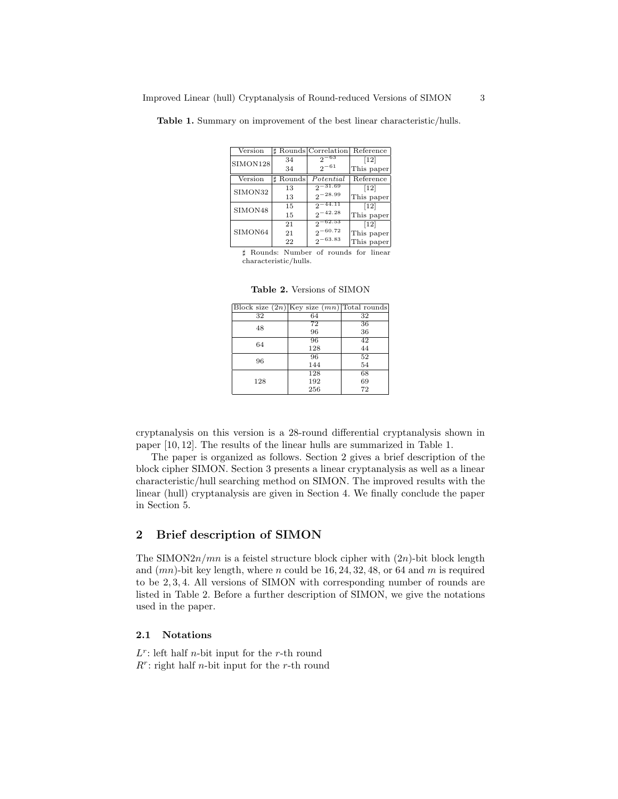| Version  |           | <b>A</b> Rounds Correlation | Reference                    |
|----------|-----------|-----------------------------|------------------------------|
| SIMON128 | 34        | $2^{-63}$                   | $[12]$                       |
|          | 34        | $2^{-61}$                   | This paper                   |
| Version  | t Rounds∣ | Potential                   | Reference                    |
| SIMON32  | 13        | $2^{-31.69}$                | $\left\lceil 12\right\rceil$ |
|          | 13        | $2^{-28.99}$                | This paper                   |
| SIMON48  | 15        | $2^{-44.11}$                | $\left\lceil 12\right\rceil$ |
|          | 15        | $2^{-42.28}$                | This paper                   |
|          | 21        | $2-62.53$                   | $[12]$                       |
| SIMON64  | 21        | $2^{-60.72}$                | This paper                   |
|          | 22        | $2^{-63.83}$                | This paper                   |

Table 1. Summary on improvement of the best linear characteristic/hulls.

] Rounds: Number of rounds for linear characteristic/hulls.

|  |  |  | <b>Table 2.</b> Versions of SIMON |  |  |
|--|--|--|-----------------------------------|--|--|
|--|--|--|-----------------------------------|--|--|

| Block size $(2n)$ Key size $(mn)$ Total rounds |     |    |
|------------------------------------------------|-----|----|
| 32                                             | 64  | 32 |
| 48                                             | 72  | 36 |
|                                                | 96  | 36 |
| 64                                             | 96  | 42 |
|                                                | 128 | 44 |
| 96                                             | 96  | 52 |
|                                                | 144 | 54 |
|                                                | 128 | 68 |
| 128                                            | 192 | 69 |
|                                                | 256 | 72 |

cryptanalysis on this version is a 28-round differential cryptanalysis shown in paper [10, 12]. The results of the linear hulls are summarized in Table 1.

The paper is organized as follows. Section 2 gives a brief description of the block cipher SIMON. Section 3 presents a linear cryptanalysis as well as a linear characteristic/hull searching method on SIMON. The improved results with the linear (hull) cryptanalysis are given in Section 4. We finally conclude the paper in Section 5.

# 2 Brief description of SIMON

The SIMON $2n/mn$  is a feistel structure block cipher with  $(2n)$ -bit block length and  $(mn)$ -bit key length, where n could be  $16, 24, 32, 48$ , or 64 and m is required to be 2, 3, 4. All versions of SIMON with corresponding number of rounds are listed in Table 2. Before a further description of SIMON, we give the notations used in the paper.

## 2.1 Notations

 $L^r$ : left half *n*-bit input for the *r*-th round  $R^r$ : right half *n*-bit input for the *r*-th round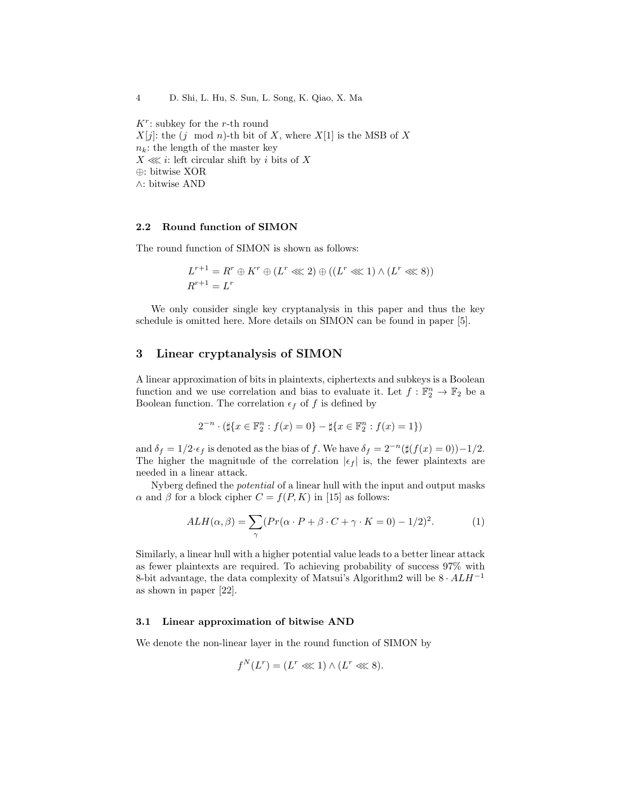4 D. Shi, L. Hu, S. Sun, L. Song, K. Qiao, X. Ma

 $K^r$ : subkey for the r-th round  $X[j]$ : the  $(j \mod n)$ -th bit of X, where  $X[1]$  is the MSB of X  $n_k$ : the length of the master key  $X \ll i$ : left circular shift by i bits of X ⊕: bitwise XOR ∧: bitwise AND

# 2.2 Round function of SIMON

The round function of SIMON is shown as follows:

$$
L^{r+1} = R^r \oplus K^r \oplus (L^r \lll 2) \oplus ((L^r \lll 1) \wedge (L^r \lll 8))
$$
  

$$
R^{r+1} = L^r
$$

We only consider single key cryptanalysis in this paper and thus the key schedule is omitted here. More details on SIMON can be found in paper [5].

## 3 Linear cryptanalysis of SIMON

A linear approximation of bits in plaintexts, ciphertexts and subkeys is a Boolean function and we use correlation and bias to evaluate it. Let  $f : \mathbb{F}_2^n \to \mathbb{F}_2$  be a Boolean function. The correlation  $\epsilon_f$  of f is defined by

$$
2^{-n} \cdot (\sharp \{x \in \mathbb{F}_2^n : f(x) = 0\} - \sharp \{x \in \mathbb{F}_2^n : f(x) = 1\})
$$

and  $\delta_f = 1/2 \cdot \epsilon_f$  is denoted as the bias of f. We have  $\delta_f = 2^{-n}(\sharp(f(x) = 0)) - 1/2$ . The higher the magnitude of the correlation  $|\epsilon_f|$  is, the fewer plaintexts are needed in a linear attack.

Nyberg defined the potential of a linear hull with the input and output masks  $\alpha$  and  $\beta$  for a block cipher  $C = f(P, K)$  in [15] as follows:

$$
ALH(\alpha, \beta) = \sum_{\gamma} (Pr(\alpha \cdot P + \beta \cdot C + \gamma \cdot K = 0) - 1/2)^2.
$$
 (1)

Similarly, a linear hull with a higher potential value leads to a better linear attack as fewer plaintexts are required. To achieving probability of success 97% with 8-bit advantage, the data complexity of Matsui's Algorithm2 will be  $8 \cdot ALH^{-1}$ as shown in paper [22].

## 3.1 Linear approximation of bitwise AND

We denote the non-linear layer in the round function of SIMON by

$$
f^N(L^r) = (L^r \lll 1) \wedge (L^r \lll 8).
$$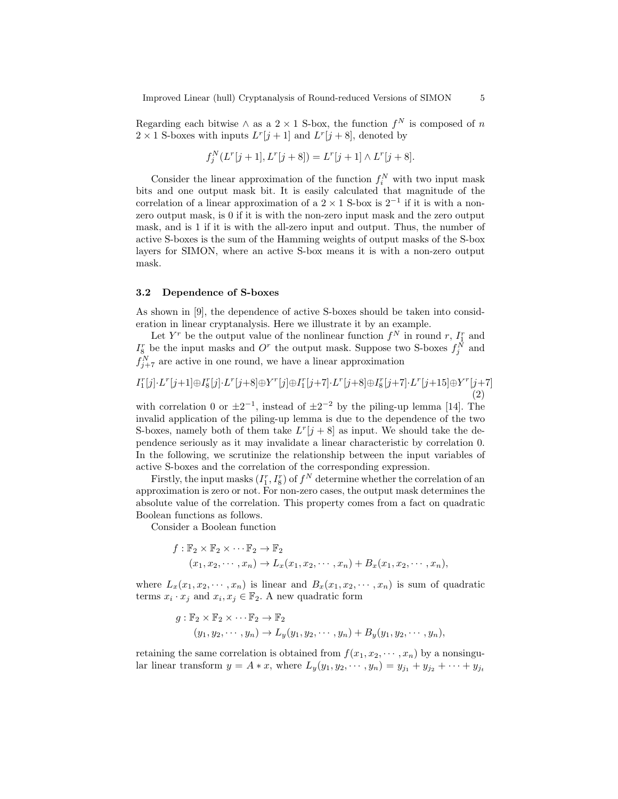Regarding each bitwise  $\wedge$  as a 2 × 1 S-box, the function  $f^N$  is composed of n  $2 \times 1$  S-boxes with inputs  $L^r[j+1]$  and  $L^r[j+8]$ , denoted by

$$
f_j^N(L^r[j+1], L^r[j+8]) = L^r[j+1] \wedge L^r[j+8].
$$

Consider the linear approximation of the function  $f_i^N$  with two input mask bits and one output mask bit. It is easily calculated that magnitude of the correlation of a linear approximation of a  $2 \times 1$  S-box is  $2^{-1}$  if it is with a nonzero output mask, is 0 if it is with the non-zero input mask and the zero output mask, and is 1 if it is with the all-zero input and output. Thus, the number of active S-boxes is the sum of the Hamming weights of output masks of the S-box layers for SIMON, where an active S-box means it is with a non-zero output mask.

#### 3.2 Dependence of S-boxes

As shown in [9], the dependence of active S-boxes should be taken into consideration in linear cryptanalysis. Here we illustrate it by an example.

Let  $Y^r$  be the output value of the nonlinear function  $f^N$  in round r,  $I_1^r$  and  $I_8^r$  be the input masks and  $O^r$  the output mask. Suppose two S-boxes  $f_j^N$  and  $f_{j+7}^N$  are active in one round, we have a linear approximation

$$
I_1^r[j] \cdot L^r[j+1] \oplus I_8^r[j] \cdot L^r[j+8] \oplus Y^r[j] \oplus I_1^r[j+7] \cdot L^r[j+8] \oplus I_8^r[j+7] \cdot L^r[j+15] \oplus Y^r[j+7] \tag{2}
$$

with correlation 0 or  $\pm 2^{-1}$ , instead of  $\pm 2^{-2}$  by the piling-up lemma [14]. The invalid application of the piling-up lemma is due to the dependence of the two S-boxes, namely both of them take  $L^r[j+8]$  as input. We should take the dependence seriously as it may invalidate a linear characteristic by correlation 0. In the following, we scrutinize the relationship between the input variables of active S-boxes and the correlation of the corresponding expression.

Firstly, the input masks  $(I_1^r, I_8^r)$  of  $f^N$  determine whether the correlation of an approximation is zero or not. For non-zero cases, the output mask determines the absolute value of the correlation. This property comes from a fact on quadratic Boolean functions as follows.

Consider a Boolean function

$$
f: \mathbb{F}_2 \times \mathbb{F}_2 \times \cdots \mathbb{F}_2 \to \mathbb{F}_2
$$
  

$$
(x_1, x_2, \cdots, x_n) \to L_x(x_1, x_2, \cdots, x_n) + B_x(x_1, x_2, \cdots, x_n),
$$

where  $L_x(x_1, x_2, \dots, x_n)$  is linear and  $B_x(x_1, x_2, \dots, x_n)$  is sum of quadratic terms  $x_i \cdot x_j$  and  $x_i, x_j \in \mathbb{F}_2$ . A new quadratic form

$$
g: \mathbb{F}_2 \times \mathbb{F}_2 \times \cdots \mathbb{F}_2 \to \mathbb{F}_2
$$
  

$$
(y_1, y_2, \cdots, y_n) \to L_y(y_1, y_2, \cdots, y_n) + B_y(y_1, y_2, \cdots, y_n),
$$

retaining the same correlation is obtained from  $f(x_1, x_2, \dots, x_n)$  by a nonsingular linear transform  $y = A * x$ , where  $L_y(y_1, y_2, \dots, y_n) = y_{j_1} + y_{j_2} + \dots + y_{j_t}$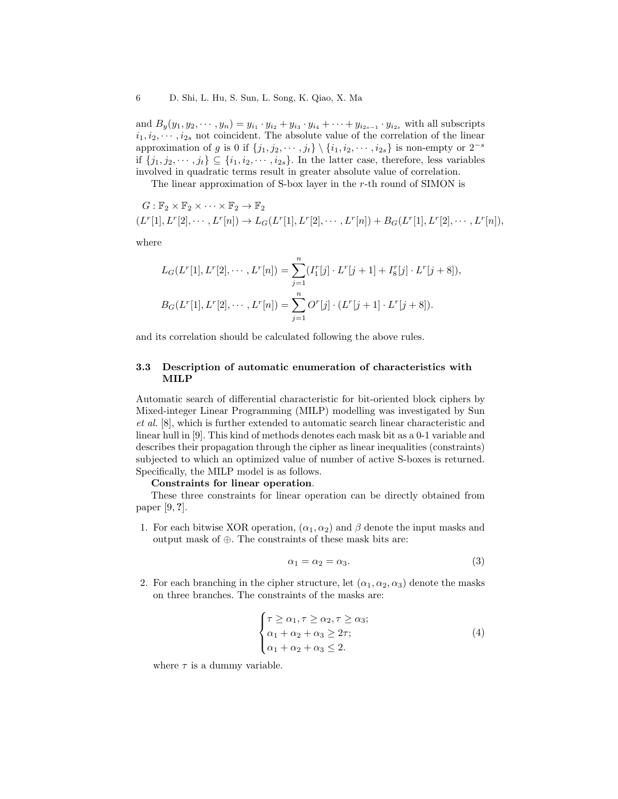and  $B_y(y_1, y_2, \dots, y_n) = y_{i_1} \cdot y_{i_2} + y_{i_3} \cdot y_{i_4} + \dots + y_{i_{2s-1}} \cdot y_{i_{2s}}$  with all subscripts  $i_1, i_2, \cdots, i_{2s}$  not coincident. The absolute value of the correlation of the linear approximation of g is 0 if  $\{j_1, j_2, \dots, j_t\} \setminus \{i_1, i_2, \dots, i_{2s}\}\$ is non-empty or  $2^{-s}$ if  $\{j_1, j_2, \dots, j_t\} \subseteq \{i_1, i_2, \dots, i_{2s}\}.$  In the latter case, therefore, less variables involved in quadratic terms result in greater absolute value of correlation.

The linear approximation of S-box layer in the r-th round of SIMON is

$$
G: \mathbb{F}_2 \times \mathbb{F}_2 \times \cdots \times \mathbb{F}_2 \to \mathbb{F}_2
$$
  

$$
(L^r[1], L^r[2], \cdots, L^r[n]) \to L_G(L^r[1], L^r[2], \cdots, L^r[n]) + B_G(L^r[1], L^r[2], \cdots, L^r[n]),
$$

where

$$
L_G(L^r[1], L^r[2], \cdots, L^r[n]) = \sum_{j=1}^n (I_1^r[j] \cdot L^r[j+1] + I_8^r[j] \cdot L^r[j+8]),
$$
  

$$
B_G(L^r[1], L^r[2], \cdots, L^r[n]) = \sum_{j=1}^n O^r[j] \cdot (L^r[j+1] \cdot L^r[j+8]).
$$

and its correlation should be calculated following the above rules.

## 3.3 Description of automatic enumeration of characteristics with MILP

Automatic search of differential characteristic for bit-oriented block ciphers by Mixed-integer Linear Programming (MILP) modelling was investigated by Sun et al. [8], which is further extended to automatic search linear characteristic and linear hull in [9]. This kind of methods denotes each mask bit as a 0-1 variable and describes their propagation through the cipher as linear inequalities (constraints) subjected to which an optimized value of number of active S-boxes is returned. Specifically, the MILP model is as follows.

#### Constraints for linear operation.

These three constraints for linear operation can be directly obtained from paper [9, ?].

1. For each bitwise XOR operation,  $(\alpha_1, \alpha_2)$  and  $\beta$  denote the input masks and output mask of ⊕. The constraints of these mask bits are:

$$
\alpha_1 = \alpha_2 = \alpha_3. \tag{3}
$$

2. For each branching in the cipher structure, let  $(\alpha_1, \alpha_2, \alpha_3)$  denote the masks on three branches. The constraints of the masks are:

$$
\begin{cases}\n\tau \ge \alpha_1, \tau \ge \alpha_2, \tau \ge \alpha_3; \\
\alpha_1 + \alpha_2 + \alpha_3 \ge 2\tau; \\
\alpha_1 + \alpha_2 + \alpha_3 \le 2.\n\end{cases}
$$
\n(4)

where  $\tau$  is a dummy variable.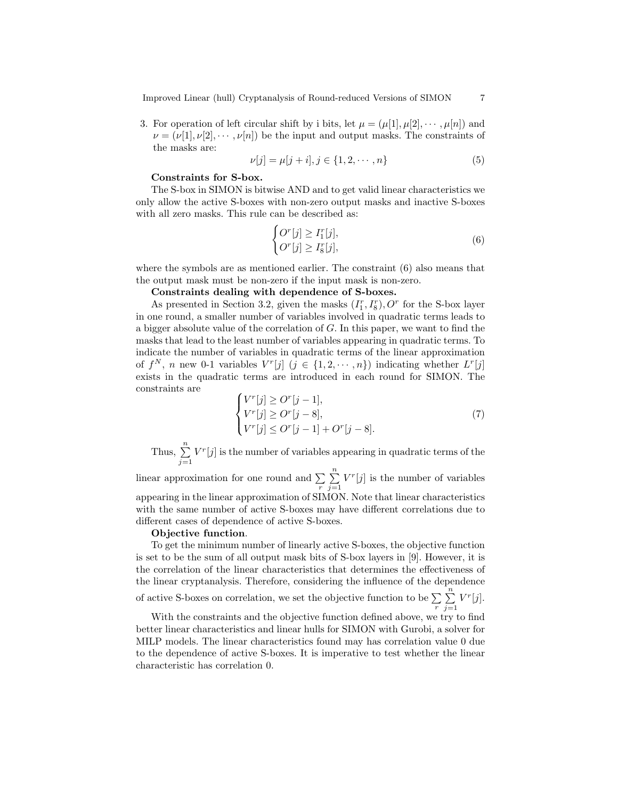Improved Linear (hull) Cryptanalysis of Round-reduced Versions of SIMON 7

3. For operation of left circular shift by i bits, let  $\mu = (\mu[1], \mu[2], \cdots, \mu[n])$  and  $\nu = (\nu[1], \nu[2], \cdots, \nu[n])$  be the input and output masks. The constraints of the masks are:

$$
\nu[j] = \mu[j+i], j \in \{1, 2, \cdots, n\}
$$
\n(5)

#### Constraints for S-box.

The S-box in SIMON is bitwise AND and to get valid linear characteristics we only allow the active S-boxes with non-zero output masks and inactive S-boxes with all zero masks. This rule can be described as:

$$
\begin{cases}\nO^r[j] \ge I_1^r[j], \\
O^r[j] \ge I_8^r[j],\n\end{cases} \tag{6}
$$

where the symbols are as mentioned earlier. The constraint (6) also means that the output mask must be non-zero if the input mask is non-zero.

# Constraints dealing with dependence of S-boxes.

As presented in Section 3.2, given the masks  $(I_1^r, I_8^r)$ ,  $O^r$  for the S-box layer in one round, a smaller number of variables involved in quadratic terms leads to a bigger absolute value of the correlation of G. In this paper, we want to find the masks that lead to the least number of variables appearing in quadratic terms. To indicate the number of variables in quadratic terms of the linear approximation of  $f^N$ , n new 0-1 variables  $V^r[j]$   $(j \in \{1, 2, \dots, n\})$  indicating whether  $L^r[j]$ exists in the quadratic terms are introduced in each round for SIMON. The constraints are

$$
\begin{cases}\nV^r[j] \ge O^r[j-1], \\
V^r[j] \ge O^r[j-8], \\
V^r[j] \le O^r[j-1] + O^r[j-8].\n\end{cases}
$$
\n(7)

Thus,  $\sum_{n=1}^{\infty}$  $j=1$  $V^{r}[j]$  is the number of variables appearing in quadratic terms of the

linear approximation for one round and  $\sum_{r}$  $\sum_{n=1}^{\infty}$  $j=1$  $V^r[j]$  is the number of variables appearing in the linear approximation of SIMON. Note that linear characteristics with the same number of active S-boxes may have different correlations due to different cases of dependence of active S-boxes.

#### Objective function.

To get the minimum number of linearly active S-boxes, the objective function is set to be the sum of all output mask bits of S-box layers in [9]. However, it is the correlation of the linear characteristics that determines the effectiveness of the linear cryptanalysis. Therefore, considering the influence of the dependence

of active S-boxes on correlation, we set the objective function to be  $\sum_{r}$  $\sum_{n=1}^{\infty}$  $j=1$  $V^r[j].$ 

With the constraints and the objective function defined above, we try to find better linear characteristics and linear hulls for SIMON with Gurobi, a solver for MILP models. The linear characteristics found may has correlation value 0 due to the dependence of active S-boxes. It is imperative to test whether the linear characteristic has correlation 0.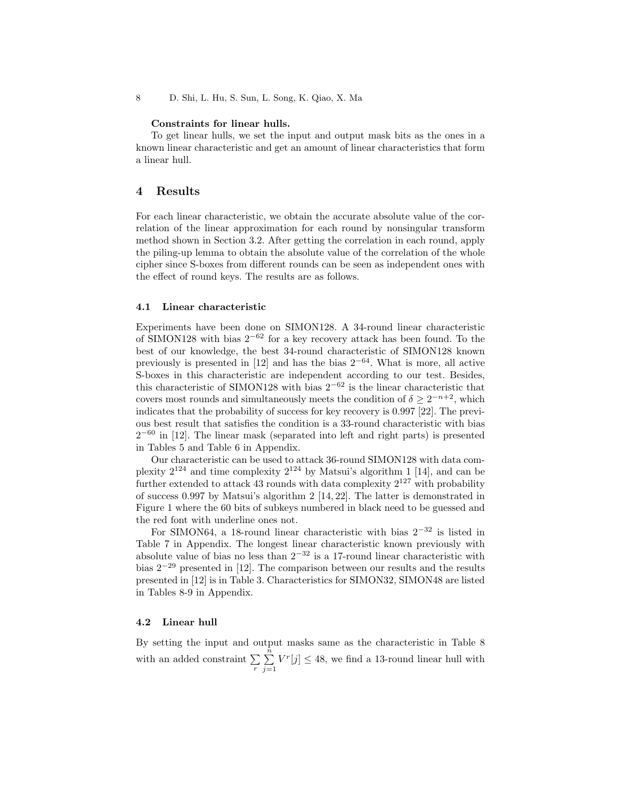#### Constraints for linear hulls.

To get linear hulls, we set the input and output mask bits as the ones in a known linear characteristic and get an amount of linear characteristics that form a linear hull.

## 4 Results

For each linear characteristic, we obtain the accurate absolute value of the correlation of the linear approximation for each round by nonsingular transform method shown in Section 3.2. After getting the correlation in each round, apply the piling-up lemma to obtain the absolute value of the correlation of the whole cipher since S-boxes from different rounds can be seen as independent ones with the effect of round keys. The results are as follows.

## 4.1 Linear characteristic

Experiments have been done on SIMON128. A 34-round linear characteristic of SIMON128 with bias  $2^{-62}$  for a key recovery attack has been found. To the best of our knowledge, the best 34-round characteristic of SIMON128 known previously is presented in [12] and has the bias  $2^{-64}$ . What is more, all active S-boxes in this characteristic are independent according to our test. Besides, this characteristic of SIMON128 with bias  $2^{-62}$  is the linear characteristic that covers most rounds and simultaneously meets the condition of  $\delta \geq 2^{-n+2}$ , which indicates that the probability of success for key recovery is 0.997 [22]. The previous best result that satisfies the condition is a 33-round characteristic with bias  $2^{-60}$  in [12]. The linear mask (separated into left and right parts) is presented in Tables 5 and Table 6 in Appendix.

Our characteristic can be used to attack 36-round SIMON128 with data complexity  $2^{124}$  and time complexity  $2^{124}$  by Matsui's algorithm 1 [14], and can be further extended to attack 43 rounds with data complexity  $2^{127}$  with probability of success 0.997 by Matsui's algorithm 2 [14, 22]. The latter is demonstrated in Figure 1 where the 60 bits of subkeys numbered in black need to be guessed and the red font with underline ones not.

For SIMON64, a 18-round linear characteristic with bias  $2^{-32}$  is listed in Table 7 in Appendix. The longest linear characteristic known previously with absolute value of bias no less than  $2^{-32}$  is a 17-round linear characteristic with bias 2<sup>−</sup><sup>29</sup> presented in [12]. The comparison between our results and the results presented in [12] is in Table 3. Characteristics for SIMON32, SIMON48 are listed in Tables 8-9 in Appendix.

#### 4.2 Linear hull

By setting the input and output masks same as the characteristic in Table 8 with an added constraint  $\sum_{r}$  $\sum_{i=1}^{\tilde{n}}$  $j=1$  $V^r[j] \leq 48$ , we find a 13-round linear hull with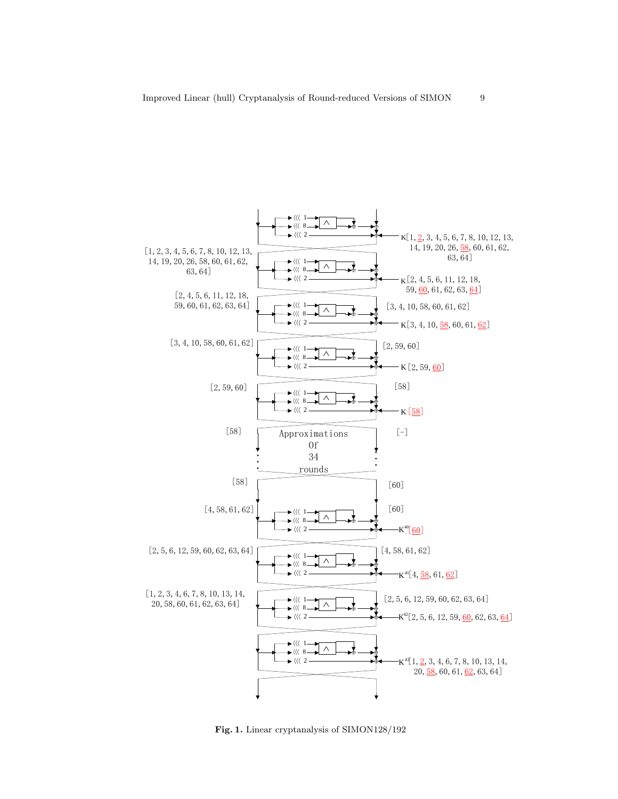

Fig. 1. Linear cryptanalysis of SIMON128/192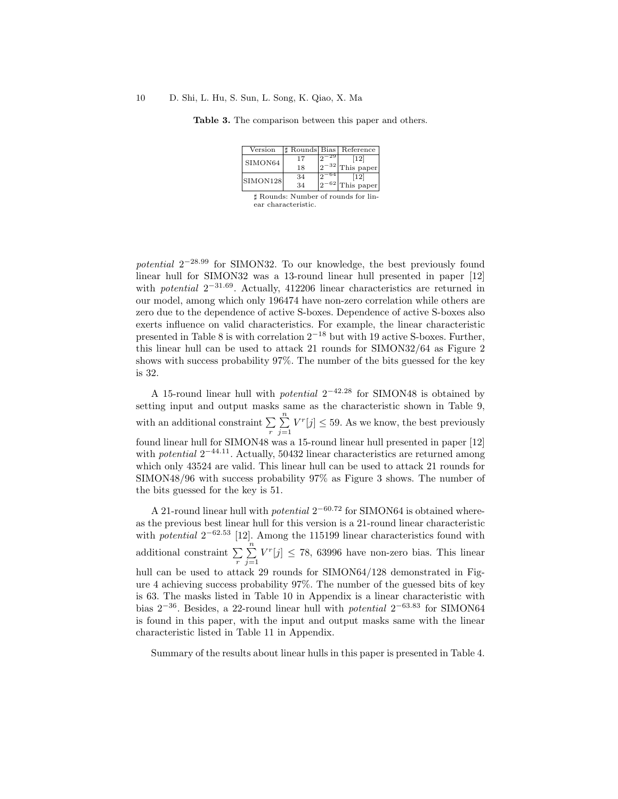#### 10 D. Shi, L. Hu, S. Sun, L. Song, K. Qiao, X. Ma

Table 3. The comparison between this paper and others.

| Version                             |    |      | Rounds Bias Reference        |  |
|-------------------------------------|----|------|------------------------------|--|
| SIMON64                             | 17 |      | $\left\lceil 12\right\rceil$ |  |
|                                     | 18 |      | $^{-32}$ This paper          |  |
| SIMON128                            | 34 | - 64 | [12]                         |  |
|                                     | 34 |      | $^{-62}$ This paper          |  |
| † Rounds: Number of rounds for lin- |    |      |                              |  |

] Rounds: Number of rounds for linear characteristic.

potential  $2^{-28.99}$  for SIMON32. To our knowledge, the best previously found linear hull for SIMON32 was a 13-round linear hull presented in paper [12] with *potential*  $2^{-31.69}$ . Actually, 412206 linear characteristics are returned in our model, among which only 196474 have non-zero correlation while others are zero due to the dependence of active S-boxes. Dependence of active S-boxes also exerts influence on valid characteristics. For example, the linear characteristic presented in Table 8 is with correlation  $2^{-18}$  but with 19 active S-boxes. Further, this linear hull can be used to attack 21 rounds for SIMON32/64 as Figure 2 shows with success probability 97%. The number of the bits guessed for the key is 32.

A 15-round linear hull with *potential*  $2^{-42.28}$  for SIMON48 is obtained by setting input and output masks same as the characteristic shown in Table 9, with an additional constraint  $\sum_{r}$  $\sum_{n=1}^{\infty}$  $j=1$  $V^r[j] \leq 59$ . As we know, the best previously found linear hull for SIMON48 was a 15-round linear hull presented in paper [12] with *potential*  $2^{-44.11}$ . Actually, 50432 linear characteristics are returned among which only 43524 are valid. This linear hull can be used to attack 21 rounds for SIMON48/96 with success probability 97% as Figure 3 shows. The number of the bits guessed for the key is 51.

A 21-round linear hull with *potential*  $2^{-60.72}$  for SIMON64 is obtained whereas the previous best linear hull for this version is a 21-round linear characteristic with *potential*  $2^{-62.53}$  [12]. Among the 115199 linear characteristics found with additional constraint  $\sum_{r}$  $\sum_{i=1}^{n}$  $j=1$  $V^r[j] \leq 78,$  63996 have non-zero bias. This linear hull can be used to attack 29 rounds for SIMON64/128 demonstrated in Figure 4 achieving success probability 97%. The number of the guessed bits of key is 63. The masks listed in Table 10 in Appendix is a linear characteristic with bias  $2^{-36}$ . Besides, a 22-round linear hull with *potential*  $2^{-63.83}$  for SIMON64 is found in this paper, with the input and output masks same with the linear characteristic listed in Table 11 in Appendix.

Summary of the results about linear hulls in this paper is presented in Table 4.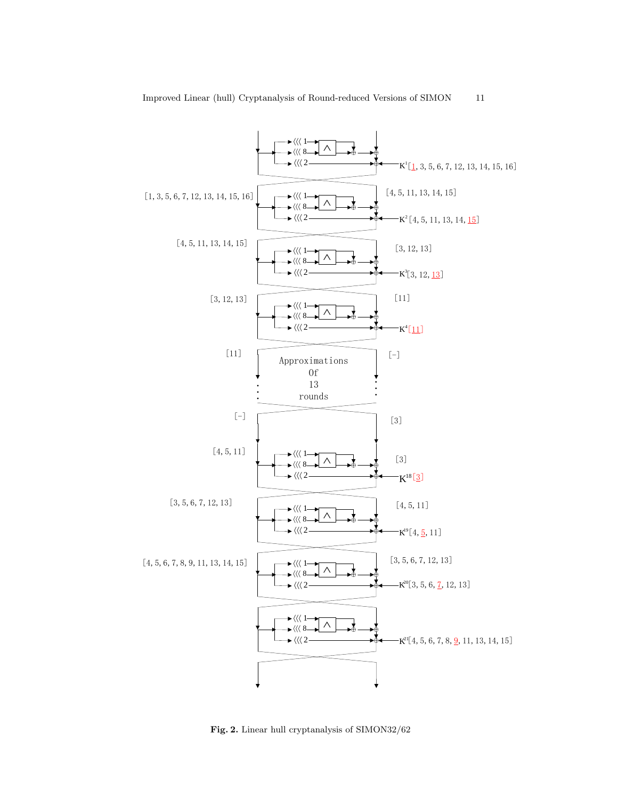

Fig. 2. Linear hull cryptanalysis of SIMON32/62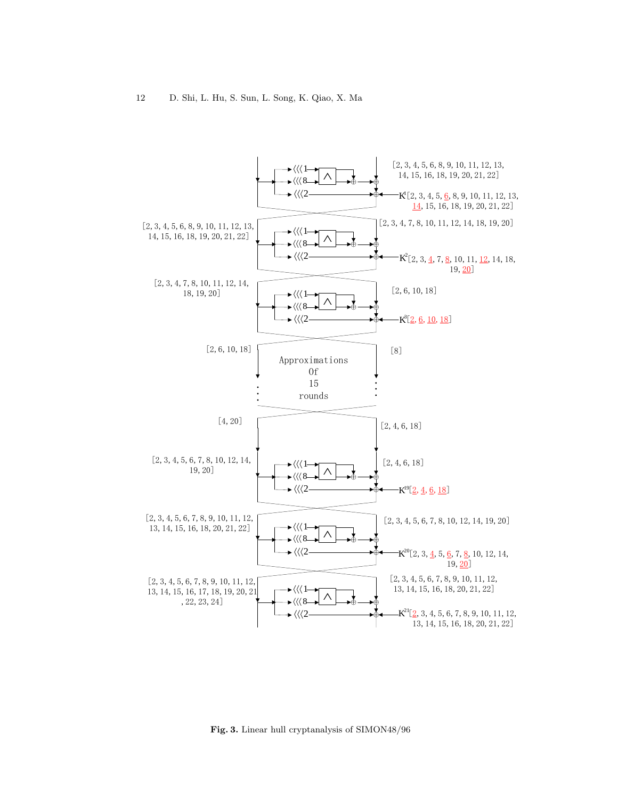

Fig. 3. Linear hull cryptanalysis of SIMON48/96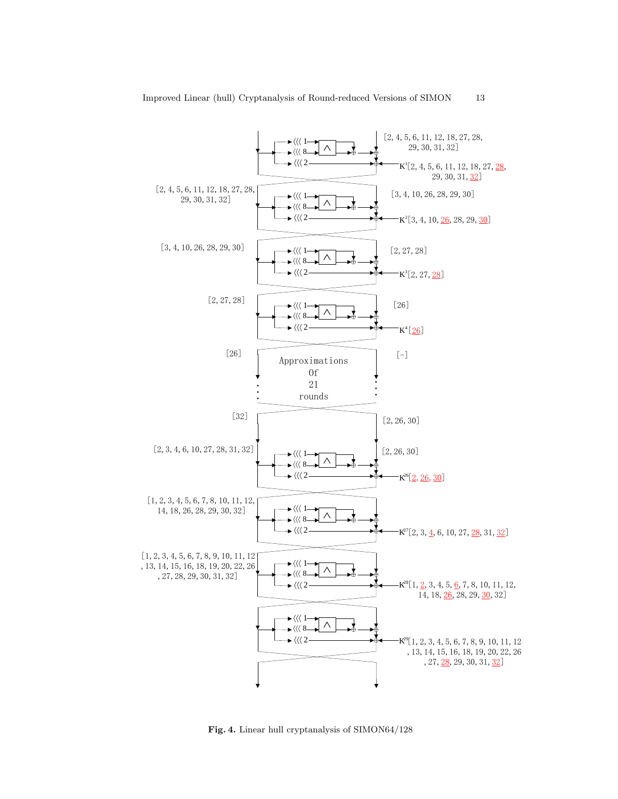

Fig. 4. Linear hull cryptanalysis of SIMON64/128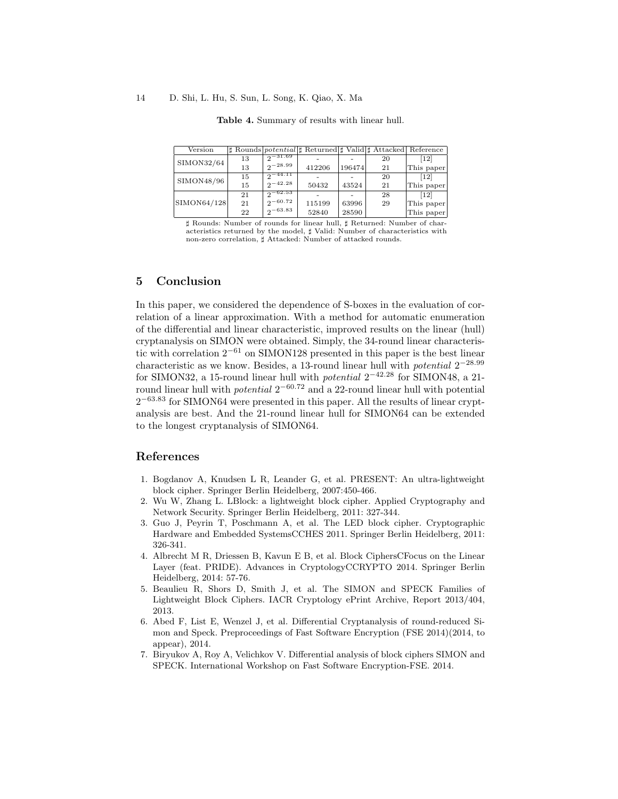#### 14 D. Shi, L. Hu, S. Sun, L. Song, K. Qiao, X. Ma

| Version     |    |                   | # Rounds <i>potential</i>  # Returned  # Valid  # Attacked Reference |        |    |                              |
|-------------|----|-------------------|----------------------------------------------------------------------|--------|----|------------------------------|
| SIMON32/64  | 13 | $2^{-31.69}$      |                                                                      |        | 20 | $\left\lceil 12\right\rceil$ |
|             | 13 | $2^{-28.99}$      | 412206                                                               | 196474 | 21 | This paper                   |
| SIMON48/96  | 15 | $2^{\sim}$ 44.11  |                                                                      |        | 20 | $\lceil 12 \rceil$           |
|             | 15 | $2^{\sim -42.28}$ | 50432                                                                | 43524  | 21 | This paper                   |
|             | 21 | $2-62.53$         |                                                                      |        | 28 | $\lceil 12 \rceil$           |
| SIMON64/128 | 21 | $2^{-60.72}$      | 115199                                                               | 63996  | 29 | This paper                   |
|             | 22 | $2^{-63.83}$      | 52840                                                                | 28590  |    | This paper                   |

Table 4. Summary of results with linear hull.

] Rounds: Number of rounds for linear hull, ] Returned: Number of characteristics returned by the model,  $\sharp$  Valid: Number of characteristics with non-zero correlation,  $\sharp$  Attacked: Number of attacked rounds.

# 5 Conclusion

In this paper, we considered the dependence of S-boxes in the evaluation of correlation of a linear approximation. With a method for automatic enumeration of the differential and linear characteristic, improved results on the linear (hull) cryptanalysis on SIMON were obtained. Simply, the 34-round linear characteristic with correlation  $2^{-61}$  on SIMON128 presented in this paper is the best linear characteristic as we know. Besides, a 13-round linear hull with *potential*  $2^{-28.99}$ for SIMON32, a 15-round linear hull with *potential*  $2^{-42.28}$  for SIMON48, a 21round linear hull with *potential*  $2^{-60.72}$  and a 22-round linear hull with potential 2<sup>-63.83</sup> for SIMON64 were presented in this paper. All the results of linear cryptanalysis are best. And the 21-round linear hull for SIMON64 can be extended to the longest cryptanalysis of SIMON64.

# References

- 1. Bogdanov A, Knudsen L R, Leander G, et al. PRESENT: An ultra-lightweight block cipher. Springer Berlin Heidelberg, 2007:450-466.
- 2. Wu W, Zhang L. LBlock: a lightweight block cipher. Applied Cryptography and Network Security. Springer Berlin Heidelberg, 2011: 327-344.
- 3. Guo J, Peyrin T, Poschmann A, et al. The LED block cipher. Cryptographic Hardware and Embedded SystemsCCHES 2011. Springer Berlin Heidelberg, 2011: 326-341.
- 4. Albrecht M R, Driessen B, Kavun E B, et al. Block CiphersCFocus on the Linear Layer (feat. PRIDE). Advances in CryptologyCCRYPTO 2014. Springer Berlin Heidelberg, 2014: 57-76.
- 5. Beaulieu R, Shors D, Smith J, et al. The SIMON and SPECK Families of Lightweight Block Ciphers. IACR Cryptology ePrint Archive, Report 2013/404, 2013.
- 6. Abed F, List E, Wenzel J, et al. Differential Cryptanalysis of round-reduced Simon and Speck. Preproceedings of Fast Software Encryption (FSE 2014)(2014, to appear), 2014.
- 7. Biryukov A, Roy A, Velichkov V. Differential analysis of block ciphers SIMON and SPECK. International Workshop on Fast Software Encryption-FSE. 2014.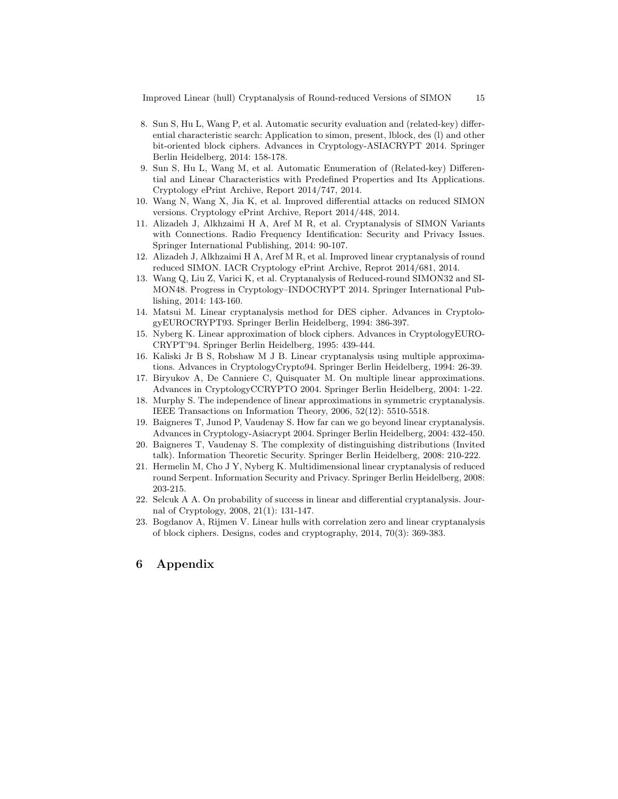Improved Linear (hull) Cryptanalysis of Round-reduced Versions of SIMON 15

- 8. Sun S, Hu L, Wang P, et al. Automatic security evaluation and (related-key) differential characteristic search: Application to simon, present, lblock, des (l) and other bit-oriented block ciphers. Advances in Cryptology-ASIACRYPT 2014. Springer Berlin Heidelberg, 2014: 158-178.
- 9. Sun S, Hu L, Wang M, et al. Automatic Enumeration of (Related-key) Differential and Linear Characteristics with Predefined Properties and Its Applications. Cryptology ePrint Archive, Report 2014/747, 2014.
- 10. Wang N, Wang X, Jia K, et al. Improved differential attacks on reduced SIMON versions. Cryptology ePrint Archive, Report 2014/448, 2014.
- 11. Alizadeh J, Alkhzaimi H A, Aref M R, et al. Cryptanalysis of SIMON Variants with Connections. Radio Frequency Identification: Security and Privacy Issues. Springer International Publishing, 2014: 90-107.
- 12. Alizadeh J, Alkhzaimi H A, Aref M R, et al. Improved linear cryptanalysis of round reduced SIMON. IACR Cryptology ePrint Archive, Reprot 2014/681, 2014.
- 13. Wang Q, Liu Z, Varici K, et al. Cryptanalysis of Reduced-round SIMON32 and SI-MON48. Progress in Cryptology–INDOCRYPT 2014. Springer International Publishing, 2014: 143-160.
- 14. Matsui M. Linear cryptanalysis method for DES cipher. Advances in CryptologyEUROCRYPT93. Springer Berlin Heidelberg, 1994: 386-397.
- 15. Nyberg K. Linear approximation of block ciphers. Advances in CryptologyEURO-CRYPT'94. Springer Berlin Heidelberg, 1995: 439-444.
- 16. Kaliski Jr B S, Robshaw M J B. Linear cryptanalysis using multiple approximations. Advances in CryptologyCrypto94. Springer Berlin Heidelberg, 1994: 26-39.
- 17. Biryukov A, De Canniere C, Quisquater M. On multiple linear approximations. Advances in CryptologyCCRYPTO 2004. Springer Berlin Heidelberg, 2004: 1-22.
- 18. Murphy S. The independence of linear approximations in symmetric cryptanalysis. IEEE Transactions on Information Theory, 2006, 52(12): 5510-5518.
- 19. Baigneres T, Junod P, Vaudenay S. How far can we go beyond linear cryptanalysis. Advances in Cryptology-Asiacrypt 2004. Springer Berlin Heidelberg, 2004: 432-450.
- 20. Baigneres T, Vaudenay S. The complexity of distinguishing distributions (Invited talk). Information Theoretic Security. Springer Berlin Heidelberg, 2008: 210-222.
- 21. Hermelin M, Cho J Y, Nyberg K. Multidimensional linear cryptanalysis of reduced round Serpent. Information Security and Privacy. Springer Berlin Heidelberg, 2008: 203-215.
- 22. Selcuk A A. On probability of success in linear and differential cryptanalysis. Journal of Cryptology, 2008, 21(1): 131-147.
- 23. Bogdanov A, Rijmen V. Linear hulls with correlation zero and linear cryptanalysis of block ciphers. Designs, codes and cryptography, 2014, 70(3): 369-383.

# 6 Appendix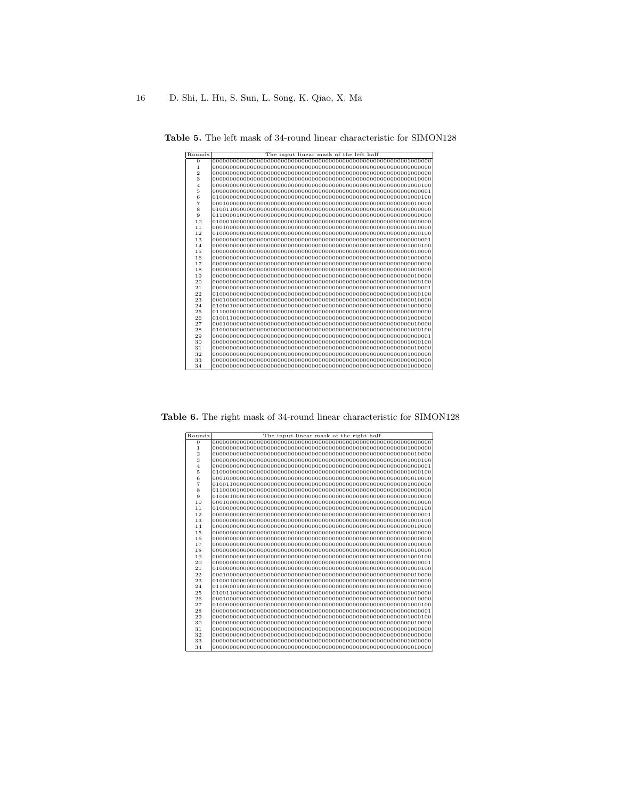| Rounds         | The input linear mask of the left half |
|----------------|----------------------------------------|
| $\Omega$       |                                        |
| 1              |                                        |
| $\overline{2}$ |                                        |
| 3              |                                        |
| $\overline{4}$ |                                        |
| 5              |                                        |
| 6              |                                        |
| 7              |                                        |
| 8              |                                        |
| 9              |                                        |
| 10             |                                        |
| 11             |                                        |
| 12             |                                        |
| 13             |                                        |
| 14             |                                        |
| 15             |                                        |
| 16             |                                        |
| 17             |                                        |
| 18             |                                        |
| 19             |                                        |
| 20             |                                        |
| 21             |                                        |
| 22             |                                        |
| 23             |                                        |
| 24             |                                        |
| 25             |                                        |
| 26             |                                        |
| 27             |                                        |
| 28             |                                        |
| 29             |                                        |
| 30             |                                        |
| 31             |                                        |
| 32             |                                        |
| 33             |                                        |
| 34             |                                        |

Table 5. The left mask of 34-round linear characteristic for SIMON128

Table 6. The right mask of 34-round linear characteristic for SIMON128

| $\overline{0}$<br>$\mathbf{1}$<br>$\overline{2}$<br>3<br>$\overline{4}$<br>5<br>6<br>$\overline{7}$<br>8<br>9<br>10<br>11<br>12<br>13<br>14<br>15<br>16<br>17<br>18 |  |
|---------------------------------------------------------------------------------------------------------------------------------------------------------------------|--|
|                                                                                                                                                                     |  |
|                                                                                                                                                                     |  |
|                                                                                                                                                                     |  |
|                                                                                                                                                                     |  |
|                                                                                                                                                                     |  |
|                                                                                                                                                                     |  |
|                                                                                                                                                                     |  |
|                                                                                                                                                                     |  |
|                                                                                                                                                                     |  |
|                                                                                                                                                                     |  |
|                                                                                                                                                                     |  |
|                                                                                                                                                                     |  |
|                                                                                                                                                                     |  |
|                                                                                                                                                                     |  |
|                                                                                                                                                                     |  |
|                                                                                                                                                                     |  |
|                                                                                                                                                                     |  |
|                                                                                                                                                                     |  |
|                                                                                                                                                                     |  |
| 19                                                                                                                                                                  |  |
| 20                                                                                                                                                                  |  |
| 21                                                                                                                                                                  |  |
| 22                                                                                                                                                                  |  |
| 23                                                                                                                                                                  |  |
| 24                                                                                                                                                                  |  |
| 25                                                                                                                                                                  |  |
| 26                                                                                                                                                                  |  |
| 27                                                                                                                                                                  |  |
| 28                                                                                                                                                                  |  |
| 29                                                                                                                                                                  |  |
| 30                                                                                                                                                                  |  |
| 31                                                                                                                                                                  |  |
| 32                                                                                                                                                                  |  |
| 33                                                                                                                                                                  |  |
| 34                                                                                                                                                                  |  |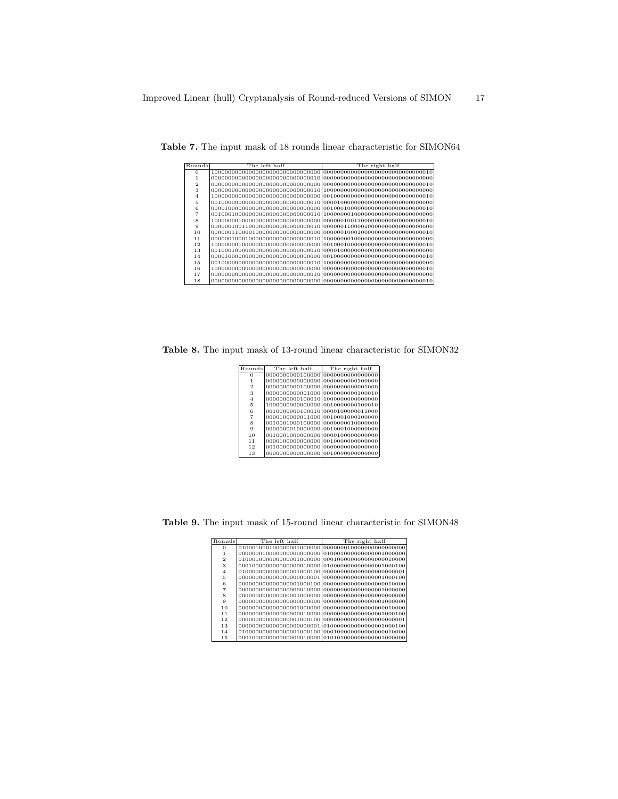| Rounds | The left half | The right half |
|--------|---------------|----------------|
| O      |               |                |
|        |               |                |
| 2      |               |                |
| 3      |               |                |
| 4      |               |                |
| 5      |               |                |
| 6      |               |                |
|        |               |                |
| 8      |               |                |
| 9      |               |                |
| 10     |               |                |
| 11     |               |                |
| 12     |               |                |
| 13     |               |                |
| 14     |               |                |
| 15     |               |                |
| 16     |               |                |
| 17     |               |                |
| 18     |               |                |

Table 7. The input mask of 18 rounds linear characteristic for SIMON64

Table 8. The input mask of 13-round linear characteristic for SIMON32

|                                     | The right half                     |
|-------------------------------------|------------------------------------|
| 0000000000100000 00000000000000000  |                                    |
| 00000000000000000 00000000000100000 |                                    |
| 0000000000100000 00000000000001000  |                                    |
| 00000000000001000 00000000000100010 |                                    |
| 0000000000100010 10000000000000000  |                                    |
|                                     | 10000000000000000 0010000000100010 |
| 0010000000100010 0000100000011000   |                                    |
| 0000100000011000 0010001000100000   |                                    |
| 0010001000100000 0000000010000000   |                                    |
| 0000000010000000 0010001000000000   |                                    |
| 0010001000000000 00001000000000000  |                                    |
| 0000100000000000 0010000000000000   |                                    |
| 0010000000000000 00000000000000000  |                                    |
| 00000000000000000 00100000000000000 |                                    |
|                                     | The left half                      |

Table 9. The input mask of 15-round linear characteristic for SIMON48

| Rounds         | The left half | The right half |
|----------------|---------------|----------------|
| $\Omega$       |               |                |
|                |               |                |
| $\overline{2}$ |               |                |
| 3              |               |                |
| $\overline{4}$ |               |                |
| 5              |               |                |
| 6              |               |                |
|                |               |                |
| 8              |               |                |
| 9              |               |                |
| 10             |               |                |
| 11             |               |                |
| 12             |               |                |
| 13             |               |                |
| 14             |               |                |
| 15             |               |                |